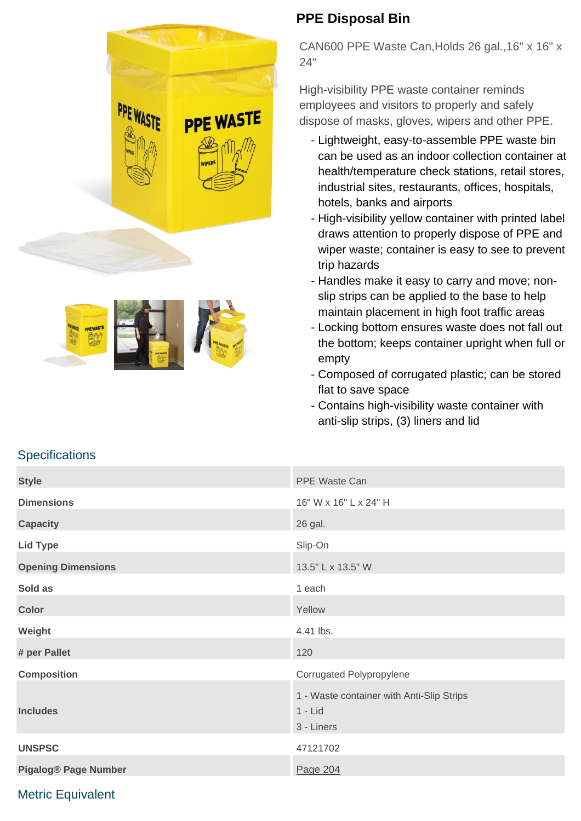



## **PPE Disposal Bin**

CAN600 PPE Waste Can,Holds 26 gal.,16" x 16" x 24"

High-visibility PPE waste container reminds employees and visitors to properly and safely dispose of masks, gloves, wipers and other PPE.

- Lightweight, easy-to-assemble PPE waste bin can be used as an indoor collection container at health/temperature check stations, retail stores, industrial sites, restaurants, offices, hospitals, hotels, banks and airports
- High-visibility yellow container with printed label draws attention to properly dispose of PPE and wiper waste; container is easy to see to prevent trip hazards
- Handles make it easy to carry and move; nonslip strips can be applied to the base to help maintain placement in high foot traffic areas
- Locking bottom ensures waste does not fall out the bottom; keeps container upright when full or empty
- Composed of corrugated plastic; can be stored flat to save space
- Contains high-visibility waste container with anti-slip strips, (3) liners and lid

| <b>Style</b>                | PPE Waste Can                                                        |
|-----------------------------|----------------------------------------------------------------------|
| <b>Dimensions</b>           | 16" W x 16" L x 24" H                                                |
| <b>Capacity</b>             | 26 gal.                                                              |
| <b>Lid Type</b>             | Slip-On                                                              |
| <b>Opening Dimensions</b>   | 13.5" L x 13.5" W                                                    |
| Sold as                     | 1 each                                                               |
| <b>Color</b>                | Yellow                                                               |
| Weight                      | 4.41 lbs.                                                            |
| # per Pallet                | 120                                                                  |
| <b>Composition</b>          | Corrugated Polypropylene                                             |
| <b>Includes</b>             | 1 - Waste container with Anti-Slip Strips<br>$1 -$ Lid<br>3 - Liners |
| <b>UNSPSC</b>               | 47121702                                                             |
| <b>Pigalog® Page Number</b> | Page 204                                                             |

## **Specifications**

## Metric Equivalent